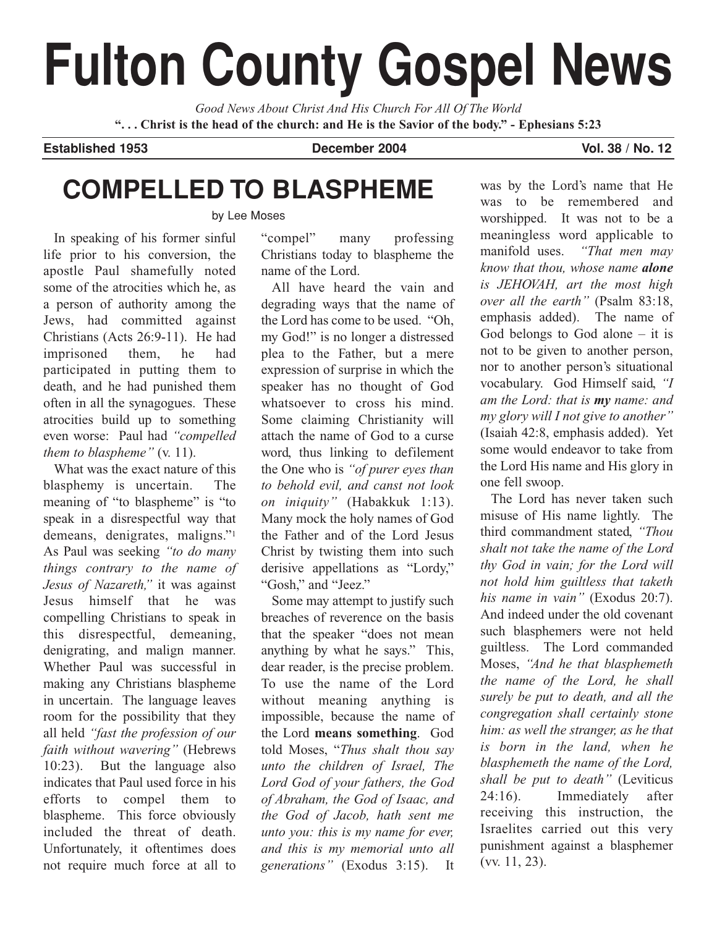# **Fulton County Gospel News**

*Good News About Christ And His Church For All Of The World* **". . . Christ is the head of the church: and He is the Savior of the body." - Ephesians 5:23**

#### **Established 1953 December 2004 Vol. 38 / No. 12**

# **COMPELLED TO BLASPHEME**

by Lee Moses

In speaking of his former sinful life prior to his conversion, the apostle Paul shamefully noted some of the atrocities which he, as a person of authority among the Jews, had committed against Christians (Acts 26:9-11). He had imprisoned them, he had participated in putting them to death, and he had punished them often in all the synagogues. These atrocities build up to something even worse: Paul had *"compelled them to blaspheme"* (v. 11).

What was the exact nature of this blasphemy is uncertain. The meaning of "to blaspheme" is "to speak in a disrespectful way that demeans, denigrates, maligns."1 As Paul was seeking *"to do many things contrary to the name of Jesus of Nazareth,"* it was against Jesus himself that he was compelling Christians to speak in this disrespectful, demeaning, denigrating, and malign manner. Whether Paul was successful in making any Christians blaspheme in uncertain. The language leaves room for the possibility that they all held *"fast the profession of our faith without wavering"* (Hebrews 10:23). But the language also indicates that Paul used force in his efforts to compel them to blaspheme. This force obviously included the threat of death. Unfortunately, it oftentimes does not require much force at all to

"compel" many professing Christians today to blaspheme the name of the Lord.

All have heard the vain and degrading ways that the name of the Lord has come to be used. "Oh, my God!" is no longer a distressed plea to the Father, but a mere expression of surprise in which the speaker has no thought of God whatsoever to cross his mind. Some claiming Christianity will attach the name of God to a curse word, thus linking to defilement the One who is *"of purer eyes than to behold evil, and canst not look on iniquity"* (Habakkuk 1:13). Many mock the holy names of God the Father and of the Lord Jesus Christ by twisting them into such derisive appellations as "Lordy," "Gosh," and "Jeez."

Some may attempt to justify such breaches of reverence on the basis that the speaker "does not mean anything by what he says." This, dear reader, is the precise problem. To use the name of the Lord without meaning anything is impossible, because the name of the Lord **means something**. God told Moses, "*Thus shalt thou say unto the children of Israel, The Lord God of your fathers, the God of Abraham, the God of Isaac, and the God of Jacob, hath sent me unto you: this is my name for ever, and this is my memorial unto all generations"* (Exodus 3:15). It

was by the Lord's name that He was to be remembered and worshipped. It was not to be a meaningless word applicable to manifold uses. *"That men may know that thou, whose name alone is JEHOVAH, art the most high over all the earth"* (Psalm 83:18, emphasis added). The name of God belongs to God alone  $-$  it is not to be given to another person, nor to another person's situational vocabulary. God Himself said, *"I am the Lord: that is my name: and my glory will I not give to another"* (Isaiah 42:8, emphasis added). Yet some would endeavor to take from the Lord His name and His glory in one fell swoop.

The Lord has never taken such misuse of His name lightly. The third commandment stated, *"Thou shalt not take the name of the Lord thy God in vain; for the Lord will not hold him guiltless that taketh his name in vain"* (Exodus 20:7). And indeed under the old covenant such blasphemers were not held guiltless. The Lord commanded Moses, *"And he that blasphemeth the name of the Lord, he shall surely be put to death, and all the congregation shall certainly stone him: as well the stranger, as he that is born in the land, when he blasphemeth the name of the Lord, shall be put to death"* (Leviticus 24:16). Immediately after receiving this instruction, the Israelites carried out this very punishment against a blasphemer (vv. 11, 23).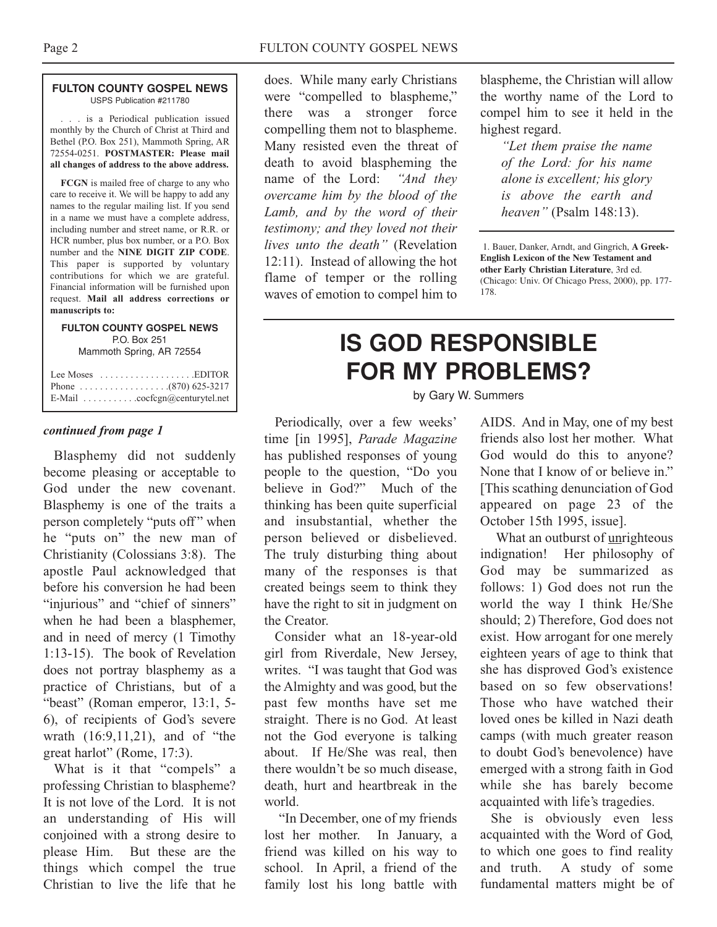#### **FULTON COUNTY GOSPEL NEWS** USPS Publication #211780

. . . is a Periodical publication issued monthly by the Church of Christ at Third and Bethel (P.O. Box 251), Mammoth Spring, AR 72554-0251. **POSTMASTER: Please mail all changes of address to the above address.**

**FCGN** is mailed free of charge to any who care to receive it. We will be happy to add any names to the regular mailing list. If you send in a name we must have a complete address, including number and street name, or R.R. or HCR number, plus box number, or a P.O. Box number and the **NINE DIGIT ZIP CODE**. This paper is supported by voluntary contributions for which we are grateful. Financial information will be furnished upon request. **Mail all address corrections or manuscripts to:**

#### **FULTON COUNTY GOSPEL NEWS** P.O. Box 251 Mammoth Spring, AR 72554

| Lee Moses $\dots \dots \dots \dots \dots$ . EDITOR          |
|-------------------------------------------------------------|
|                                                             |
| E-Mail $\ldots \ldots \ldots \ldots$ cocfcgn@centurytel.net |

Blasphemy did not suddenly become pleasing or acceptable to God under the new covenant. Blasphemy is one of the traits a person completely "puts off" when he "puts on" the new man of Christianity (Colossians 3:8). The apostle Paul acknowledged that before his conversion he had been "injurious" and "chief of sinners" when he had been a blasphemer, and in need of mercy (1 Timothy 1:13-15). The book of Revelation does not portray blasphemy as a practice of Christians, but of a "beast" (Roman emperor, 13:1, 5- 6), of recipients of God's severe wrath (16:9,11,21), and of "the great harlot" (Rome, 17:3).

What is it that "compels" a professing Christian to blaspheme? It is not love of the Lord. It is not an understanding of His will conjoined with a strong desire to please Him. But these are the things which compel the true Christian to live the life that he

does. While many early Christians were "compelled to blaspheme," there was a stronger force compelling them not to blaspheme. Many resisted even the threat of death to avoid blaspheming the name of the Lord: *"And they overcame him by the blood of the Lamb, and by the word of their testimony; and they loved not their lives unto the death"* (Revelation 12:11). Instead of allowing the hot flame of temper or the rolling waves of emotion to compel him to

blaspheme, the Christian will allow the worthy name of the Lord to compel him to see it held in the highest regard.

> *"Let them praise the name of the Lord: for his name alone is excellent; his glory is above the earth and heaven"* (Psalm 148:13).

1. Bauer, Danker, Arndt, and Gingrich, **A Greek-English Lexicon of the New Testament and other Early Christian Literature**, 3rd ed. (Chicago: Univ. Of Chicago Press, 2000), pp. 177- 178.

## **IS GOD RESPONSIBLE FOR MY PROBLEMS?**

by Gary W. Summers

*continued from page 1* Periodically, over a few weeks' time [in 1995], *Parade Magazine* has published responses of young people to the question, "Do you believe in God?" Much of the thinking has been quite superficial and insubstantial, whether the person believed or disbelieved. The truly disturbing thing about many of the responses is that created beings seem to think they have the right to sit in judgment on the Creator.

> Consider what an 18-year-old girl from Riverdale, New Jersey, writes. "I was taught that God was the Almighty and was good, but the past few months have set me straight. There is no God. At least not the God everyone is talking about. If He/She was real, then there wouldn't be so much disease, death, hurt and heartbreak in the world.

> "In December, one of my friends lost her mother. In January, a friend was killed on his way to school. In April, a friend of the family lost his long battle with

AIDS. And in May, one of my best friends also lost her mother. What God would do this to anyone? None that I know of or believe in." [This scathing denunciation of God appeared on page 23 of the October 15th 1995, issue].

What an outburst of unrighteous indignation! Her philosophy of God may be summarized as follows: 1) God does not run the world the way I think He/She should; 2) Therefore, God does not exist. How arrogant for one merely eighteen years of age to think that she has disproved God's existence based on so few observations! Those who have watched their loved ones be killed in Nazi death camps (with much greater reason to doubt God's benevolence) have emerged with a strong faith in God while she has barely become acquainted with life's tragedies.

She is obviously even less acquainted with the Word of God, to which one goes to find reality and truth. A study of some fundamental matters might be of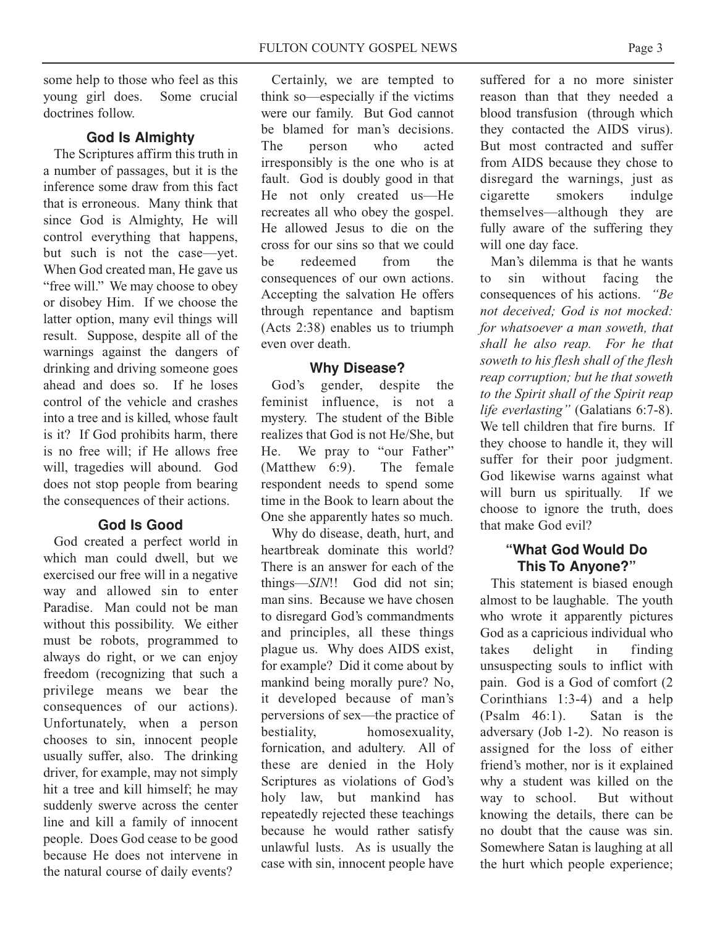some help to those who feel as this young girl does. Some crucial doctrines follow.

## **God Is Almighty**

The Scriptures affirm this truth in a number of passages, but it is the inference some draw from this fact that is erroneous. Many think that since God is Almighty, He will control everything that happens, but such is not the case—yet. When God created man, He gave us "free will." We may choose to obey or disobey Him. If we choose the latter option, many evil things will result. Suppose, despite all of the warnings against the dangers of drinking and driving someone goes ahead and does so. If he loses control of the vehicle and crashes into a tree and is killed, whose fault is it? If God prohibits harm, there is no free will; if He allows free will, tragedies will abound. God does not stop people from bearing the consequences of their actions.

#### **God Is Good**

God created a perfect world in which man could dwell, but we exercised our free will in a negative way and allowed sin to enter Paradise. Man could not be man without this possibility. We either must be robots, programmed to always do right, or we can enjoy freedom (recognizing that such a privilege means we bear the consequences of our actions). Unfortunately, when a person chooses to sin, innocent people usually suffer, also. The drinking driver, for example, may not simply hit a tree and kill himself; he may suddenly swerve across the center line and kill a family of innocent people. Does God cease to be good because He does not intervene in the natural course of daily events?

Certainly, we are tempted to think so—especially if the victims were our family. But God cannot be blamed for man's decisions. The person who acted irresponsibly is the one who is at fault. God is doubly good in that He not only created us—He recreates all who obey the gospel. He allowed Jesus to die on the cross for our sins so that we could be redeemed from the consequences of our own actions. Accepting the salvation He offers through repentance and baptism (Acts 2:38) enables us to triumph even over death.

#### **Why Disease?**

God's gender, despite the feminist influence, is not a mystery. The student of the Bible realizes that God is not He/She, but He. We pray to "our Father" (Matthew 6:9). The female respondent needs to spend some time in the Book to learn about the One she apparently hates so much.

Why do disease, death, hurt, and heartbreak dominate this world? There is an answer for each of the things—*SIN*!! God did not sin; man sins. Because we have chosen to disregard God's commandments and principles, all these things plague us. Why does AIDS exist, for example? Did it come about by mankind being morally pure? No, it developed because of man's perversions of sex—the practice of bestiality, homosexuality, fornication, and adultery. All of these are denied in the Holy Scriptures as violations of God's holy law, but mankind has repeatedly rejected these teachings because he would rather satisfy unlawful lusts. As is usually the case with sin, innocent people have

suffered for a no more sinister reason than that they needed a blood transfusion (through which they contacted the AIDS virus). But most contracted and suffer from AIDS because they chose to disregard the warnings, just as cigarette smokers indulge themselves—although they are fully aware of the suffering they will one day face.

Man's dilemma is that he wants to sin without facing the consequences of his actions. *"Be not deceived; God is not mocked: for whatsoever a man soweth, that shall he also reap. For he that soweth to his flesh shall of the flesh reap corruption; but he that soweth to the Spirit shall of the Spirit reap life everlasting"* (Galatians 6:7-8). We tell children that fire burns. If they choose to handle it, they will suffer for their poor judgment. God likewise warns against what will burn us spiritually. If we choose to ignore the truth, does that make God evil?

#### **"What God Would Do This To Anyone?"**

This statement is biased enough almost to be laughable. The youth who wrote it apparently pictures God as a capricious individual who takes delight in finding unsuspecting souls to inflict with pain. God is a God of comfort (2 Corinthians 1:3-4) and a help (Psalm 46:1). Satan is the adversary (Job 1-2). No reason is assigned for the loss of either friend's mother, nor is it explained why a student was killed on the way to school. But without knowing the details, there can be no doubt that the cause was sin. Somewhere Satan is laughing at all the hurt which people experience;